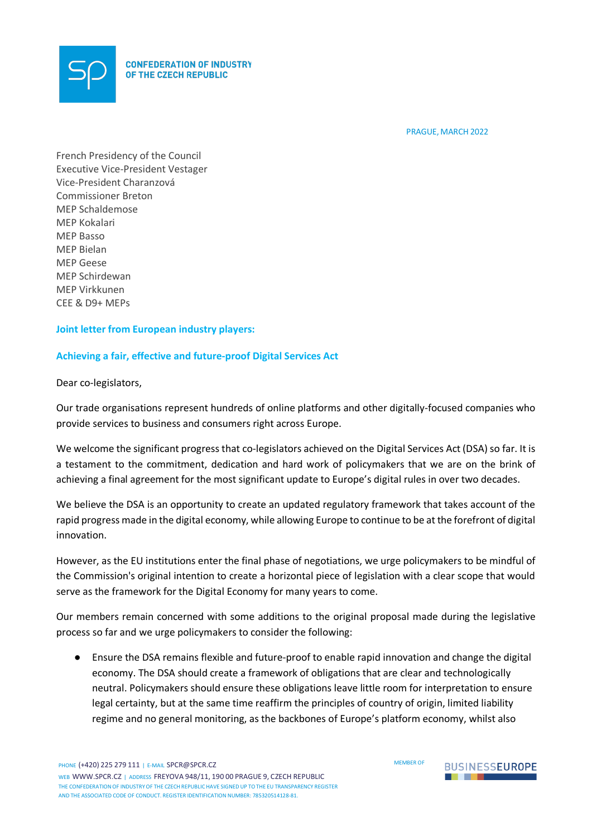

PRAGUE, MARCH 2022

French Presidency of the Council Executive Vice-President Vestager Vice-President Charanzová Commissioner Breton MEP Schaldemose MEP Kokalari MEP Basso MEP Bielan MEP Geese MEP Schirdewan MEP Virkkunen CEE & D9+ MEPs

## **Joint letter from European industry players:**

## **Achieving a fair, effective and future-proof Digital Services Act**

Dear co-legislators,

Our trade organisations represent hundreds of online platforms and other digitally-focused companies who provide services to business and consumers right across Europe.

We welcome the significant progress that co-legislators achieved on the Digital Services Act (DSA) so far. It is a testament to the commitment, dedication and hard work of policymakers that we are on the brink of achieving a final agreement for the most significant update to Europe's digital rules in over two decades.

We believe the DSA is an opportunity to create an updated regulatory framework that takes account of the rapid progress made in the digital economy, while allowing Europe to continue to be at the forefront of digital innovation.

However, as the EU institutions enter the final phase of negotiations, we urge policymakers to be mindful of the Commission's original intention to create a horizontal piece of legislation with a clear scope that would serve as the framework for the Digital Economy for many years to come.

Our members remain concerned with some additions to the original proposal made during the legislative process so far and we urge policymakers to consider the following:

● Ensure the DSA remains flexible and future-proof to enable rapid innovation and change the digital economy. The DSA should create a framework of obligations that are clear and technologically neutral. Policymakers should ensure these obligations leave little room for interpretation to ensure legal certainty, but at the same time reaffirm the principles of country of origin, limited liability regime and no general monitoring, as the backbones of Europe's platform economy, whilst also



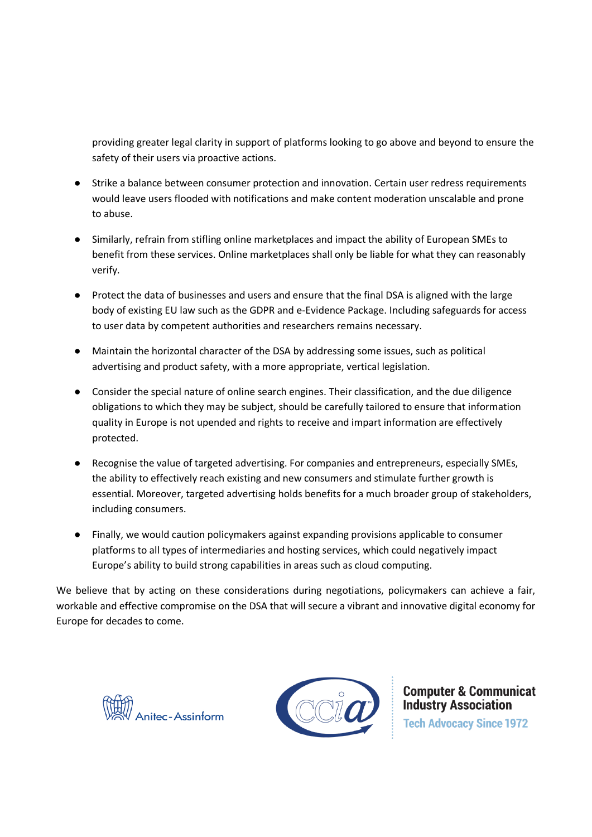providing greater legal clarity in support of platforms looking to go above and beyond to ensure the safety of their users via proactive actions.

- Strike a balance between consumer protection and innovation. Certain user redress requirements would leave users flooded with notifications and make content moderation unscalable and prone to abuse.
- Similarly, refrain from stifling online marketplaces and impact the ability of European SMEs to benefit from these services. Online marketplaces shall only be liable for what they can reasonably verify.
- Protect the data of businesses and users and ensure that the final DSA is aligned with the large body of existing EU law such as the GDPR and e-Evidence Package. Including safeguards for access to user data by competent authorities and researchers remains necessary.
- Maintain the horizontal character of the DSA by addressing some issues, such as political advertising and product safety, with a more appropriate, vertical legislation.
- Consider the special nature of online search engines. Their classification, and the due diligence obligations to which they may be subject, should be carefully tailored to ensure that information quality in Europe is not upended and rights to receive and impart information are effectively protected.
- Recognise the value of targeted advertising. For companies and entrepreneurs, especially SMEs, the ability to effectively reach existing and new consumers and stimulate further growth is essential. Moreover, targeted advertising holds benefits for a much broader group of stakeholders, including consumers.
- Finally, we would caution policymakers against expanding provisions applicable to consumer platforms to all types of intermediaries and hosting services, which could negatively impact Europe's ability to build strong capabilities in areas such as cloud computing.

We believe that by acting on these considerations during negotiations, policymakers can achieve a fair, workable and effective compromise on the DSA that will secure a vibrant and innovative digital economy for Europe for decades to come.





**Computer & Communicat Industry Association Tech Advocacy Since 1972**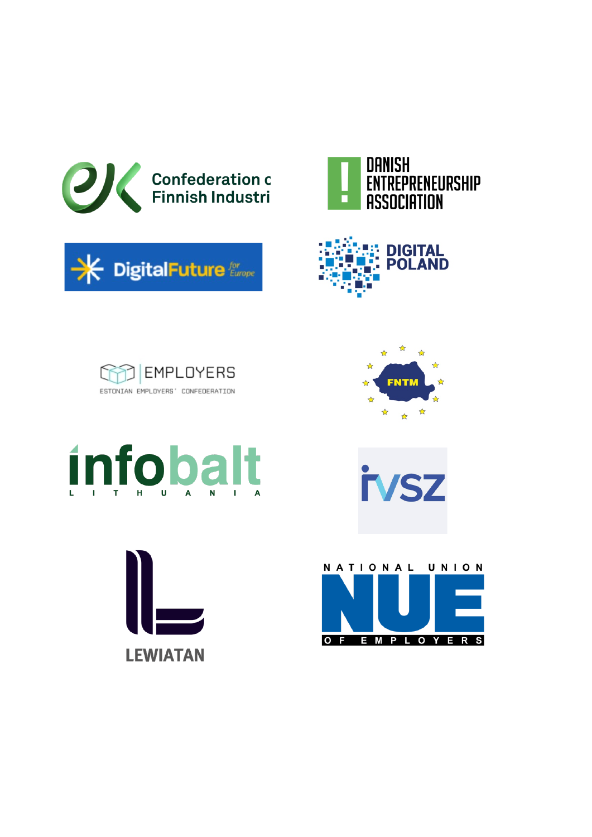